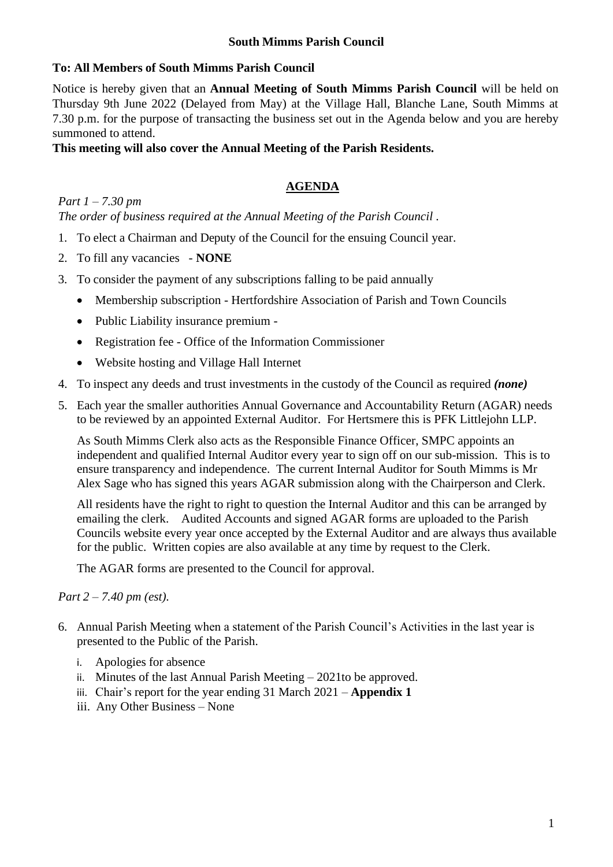### **South Mimms Parish Council**

## **To: All Members of South Mimms Parish Council**

Notice is hereby given that an **Annual Meeting of South Mimms Parish Council** will be held on Thursday 9th June 2022 (Delayed from May) at the Village Hall, Blanche Lane, South Mimms at 7.30 p.m. for the purpose of transacting the business set out in the Agenda below and you are hereby summoned to attend.

## **This meeting will also cover the Annual Meeting of the Parish Residents.**

# **AGENDA**

*Part 1 – 7.30 pm The order of business required at the Annual Meeting of the Parish Council .*

- 1. To elect a Chairman and Deputy of the Council for the ensuing Council year.
- 2. To fill any vacancies **NONE**
- 3. To consider the payment of any subscriptions falling to be paid annually
	- Membership subscription Hertfordshire Association of Parish and Town Councils
	- Public Liability insurance premium -
	- Registration fee Office of the Information Commissioner
	- Website hosting and Village Hall Internet
- 4. To inspect any deeds and trust investments in the custody of the Council as required *(none)*
- 5. Each year the smaller authorities Annual Governance and Accountability Return (AGAR) needs to be reviewed by an appointed External Auditor. For Hertsmere this is PFK Littlejohn LLP.

As South Mimms Clerk also acts as the Responsible Finance Officer, SMPC appoints an independent and qualified Internal Auditor every year to sign off on our sub-mission. This is to ensure transparency and independence. The current Internal Auditor for South Mimms is Mr Alex Sage who has signed this years AGAR submission along with the Chairperson and Clerk.

All residents have the right to right to question the Internal Auditor and this can be arranged by emailing the clerk. Audited Accounts and signed AGAR forms are uploaded to the Parish Councils website every year once accepted by the External Auditor and are always thus available for the public. Written copies are also available at any time by request to the Clerk.

The AGAR forms are presented to the Council for approval.

#### *Part 2 – 7.40 pm (est).*

- 6. Annual Parish Meeting when a statement of the Parish Council's Activities in the last year is presented to the Public of the Parish.
	- i. Apologies for absence
	- ii. Minutes of the last Annual Parish Meeting 2021to be approved.
	- iii. Chair's report for the year ending 31 March 2021 **Appendix 1**
	- iii. Any Other Business None